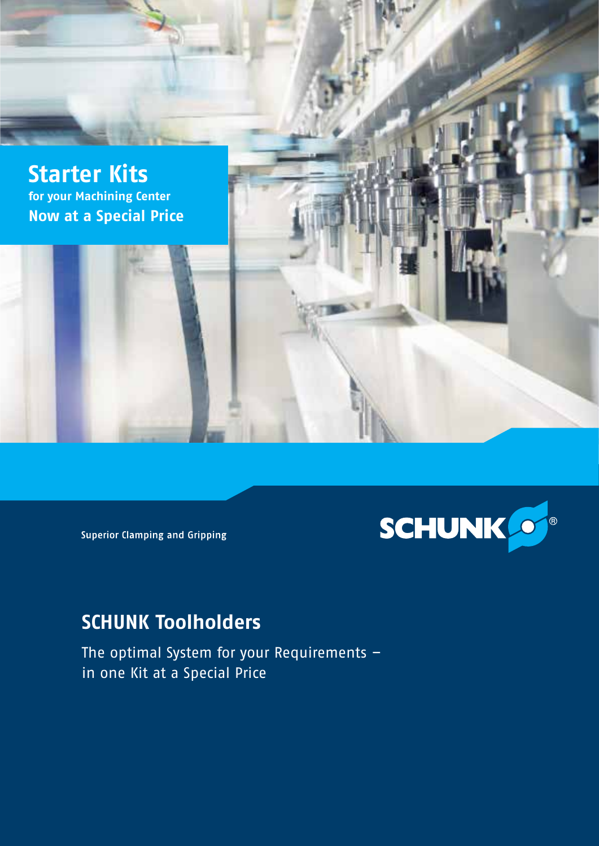



**Superior Clamping and Gripping** 

# **SCHUNK Toolholders**

The optimal System for your Requirements – in one Kit at a Special Price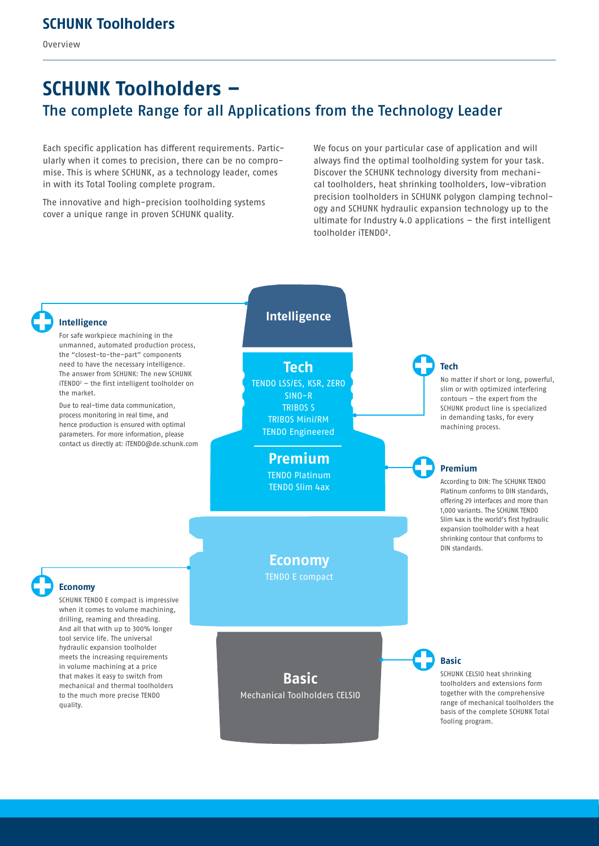Overview

# **SCHUNK Toolholders –**  The complete Range for all Applications from the Technology Leader

Each specific application has different requirements. Particularly when it comes to precision, there can be no compromise. This is where SCHUNK, as a technology leader, comes in with its Total Tooling complete program.

The innovative and high-precision toolholding systems cover a unique range in proven SCHUNK quality.

We focus on your particular case of application and will always find the optimal toolholding system for your task. Discover the SCHUNK technology diversity from mechanical toolholders, heat shrinking toolholders, low-vibration precision toolholders in SCHUNK polygon clamping technology and SCHUNK hydraulic expansion technology up to the ultimate for Industry 4.0 applications – the first intelligent toolholder iTENDO².

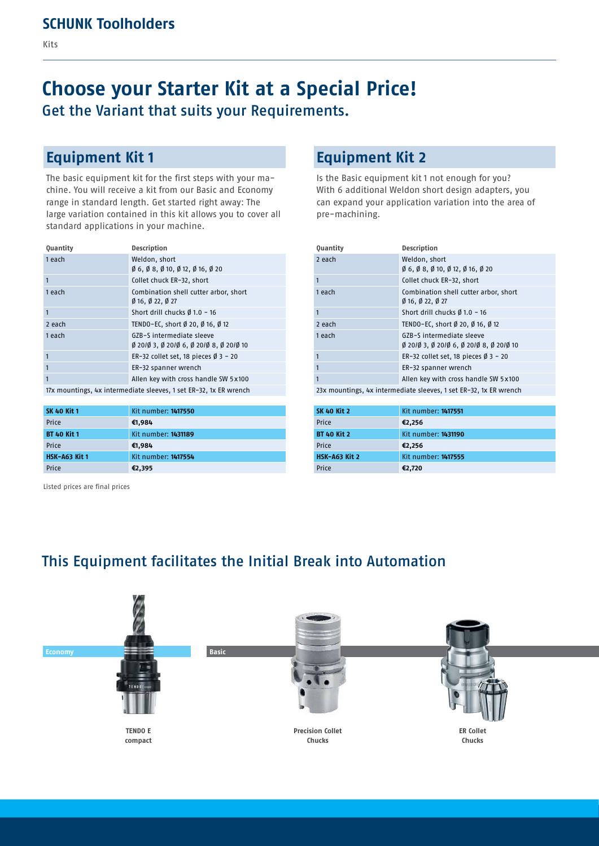# **Choose your Starter Kit at a Special Price!** Get the Variant that suits your Requirements.

### **Equipment Kit 1**

The basic equipment kit for the first steps with your machine. You will receive a kit from our Basic and Economy range in standard length. Get started right away: The large variation contained in this kit allows you to cover all standard applications in your machine.

| <b>Quantity</b>                                                    | <b>Description</b>                                                                                            |
|--------------------------------------------------------------------|---------------------------------------------------------------------------------------------------------------|
| 1 each                                                             | Weldon, short<br>$\emptyset$ 6, $\emptyset$ 8, $\emptyset$ 10, $\emptyset$ 12, $\emptyset$ 16, $\emptyset$ 20 |
| $\mathbf{1}$                                                       | Collet chuck ER-32, short                                                                                     |
| 1 each                                                             | Combination shell cutter arbor, short<br>$\emptyset$ 16, $\emptyset$ 22, $\emptyset$ 27                       |
| $\mathbf{1}$                                                       | Short drill chucks Ø 1.0 - 16                                                                                 |
| 2 each                                                             | TENDO-EC, short Ø 20, Ø 16, Ø 12                                                                              |
| 1 each                                                             | GZB-S intermediate sleeve<br>Ø 201Ø 3, Ø 201Ø 6, Ø 201Ø 8, Ø 201Ø 10                                          |
| $\mathbf{1}$                                                       | ER-32 collet set, 18 pieces $\emptyset$ 3 - 20                                                                |
| $\mathbf{1}$                                                       | ER-32 spanner wrench                                                                                          |
| $\mathbf{1}$                                                       | Allen key with cross handle SW 5x100                                                                          |
| 17y mountings, by intermediate clearer, 1 cet ED, 33, 1y ED wanneb |                                                                                                               |

17x mountings, 4x intermediate sleeves, 1 set ER-32, 1x ER wrench

| <b>SK 40 Kit 1</b> | Kit number: 1417550 |
|--------------------|---------------------|
| Price              | €1,984              |
| <b>BT 40 Kit 1</b> | Kit number: 1431189 |
| Price              | €1,984              |
| HSK-A63 Kit 1      | Kit number: 1417554 |
| Price              | €2,395              |

Listed prices are final prices

### **Equipment Kit 2**

Is the Basic equipment kit 1 not enough for you? With 6 additional Weldon short design adapters, you can expand your application variation into the area of pre-machining.

| <b>Quantity</b>                                                    | Description                                                                                                   |
|--------------------------------------------------------------------|---------------------------------------------------------------------------------------------------------------|
| 2 each                                                             | Weldon, short<br>$\emptyset$ 6, $\emptyset$ 8, $\emptyset$ 10, $\emptyset$ 12, $\emptyset$ 16, $\emptyset$ 20 |
| 1                                                                  | Collet chuck ER-32, short                                                                                     |
| 1 each                                                             | Combination shell cutter arbor, short<br>016.022.027                                                          |
|                                                                    | Short drill chucks Ø 1.0 - 16                                                                                 |
| 2 each                                                             | TENDO-EC, short Ø 20, Ø 16, Ø 12                                                                              |
| 1 each                                                             | GZB-S intermediate sleeve<br>0 2010 3, 0 2010 6, 0 2010 8, 0 2010 10                                          |
| 1                                                                  | ER-32 collet set, 18 pieces $\emptyset$ 3 - 20                                                                |
|                                                                    | ER-32 spanner wrench                                                                                          |
|                                                                    | Allen key with cross handle SW 5x100                                                                          |
| 20v mountings, by intermediate clearer, 1 cet EB, 22, 1y EB wrongh |                                                                                                               |

23x mountings, 4x intermediate sleeves, 1 set ER-32, 1x ER wrench

| <b>SK 40 Kit 2</b>   | Kit number: 1417551 |
|----------------------|---------------------|
| Price                | €2,256              |
| <b>BT 40 Kit 2</b>   | Kit number: 1431190 |
| Price                | €2,256              |
| <b>HSK-A63 Kit 2</b> | Kit number: 1417555 |
| Price                | €2,720              |

### This Equipment facilitates the Initial Break into Automation

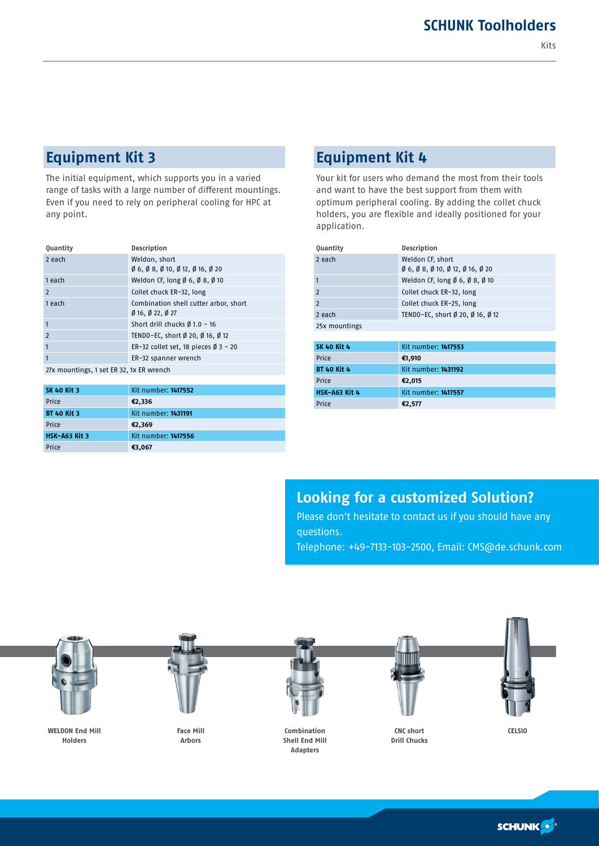## **Equipment Kit 3**

The initial equipment, which supports you in a varied range of tasks with a large number of different mountings. Even if you need to rely on peripheral cooling for HPC at any point.

| <b>Quantity</b>                         | <b>Description</b>                                                                                            |
|-----------------------------------------|---------------------------------------------------------------------------------------------------------------|
| 2 each                                  | Weldon, short<br>$\emptyset$ 6, $\emptyset$ 8, $\emptyset$ 10, $\emptyset$ 12, $\emptyset$ 16, $\emptyset$ 20 |
| 1 each                                  | Weldon CF, long $\emptyset$ 6, $\emptyset$ 8, $\emptyset$ 10                                                  |
| $\overline{2}$                          | Collet chuck ER-32, long                                                                                      |
| 1 each                                  | Combination shell cutter arbor, short<br>$\emptyset$ 16, $\emptyset$ 22, $\emptyset$ 27                       |
| $\mathbf{1}$                            | Short drill chucks $\emptyset$ 1.0 - 16                                                                       |
| $\overline{2}$                          | TENDO-EC, short Ø 20, Ø 16, Ø 12                                                                              |
| $\mathbf{1}$                            | ER-32 collet set, 18 pieces $\emptyset$ 3 - 20                                                                |
| $\mathbf{1}$                            | ER-32 spanner wrench                                                                                          |
| 27y mountings 1 set ED 32, 1y ED wranch |                                                                                                               |

27x mountings, 1 set ER 32, 1x ER wrench

| <b>SK 40 Kit 3</b>   | Kit number: 1417552 |
|----------------------|---------------------|
| Price                | €2,336              |
| <b>BT 40 Kit 3</b>   | Kit number: 1431191 |
| Price                | €2,369              |
| <b>HSK-A63 Kit 3</b> | Kit number: 1417556 |
| Price                | €3,067              |

### **Equipment Kit 4**

Your kit for users who demand the most from their tools and want to have the best support from them with optimum peripheral cooling. By adding the collet chuck holders, you are flexible and ideally positioned for your application.

| <b>Description</b>                                                                           |
|----------------------------------------------------------------------------------------------|
| Weldon CF, short                                                                             |
| $\emptyset$ 6, $\emptyset$ 8, $\emptyset$ 10, $\emptyset$ 12, $\emptyset$ 16, $\emptyset$ 20 |
| Weldon CF, long $\emptyset$ 6, $\emptyset$ 8, $\emptyset$ 10                                 |
| Collet chuck ER-32, long                                                                     |
| Collet chuck ER-25, long                                                                     |
| TENDO-EC, short Ø 20, Ø 16, Ø 12                                                             |
|                                                                                              |
|                                                                                              |
| Kit number: 1417553                                                                          |
| €1,910                                                                                       |
| Kit number: 1431192                                                                          |
| €2,015                                                                                       |
| Kit number: 1417557                                                                          |
| €2,577                                                                                       |
|                                                                                              |

#### **Looking for a customized Solution?**

Please don't hesitate to contact us if you should have any questions. Telephone: +49-7133-103-2500, Email: CMS@de.schunk.com

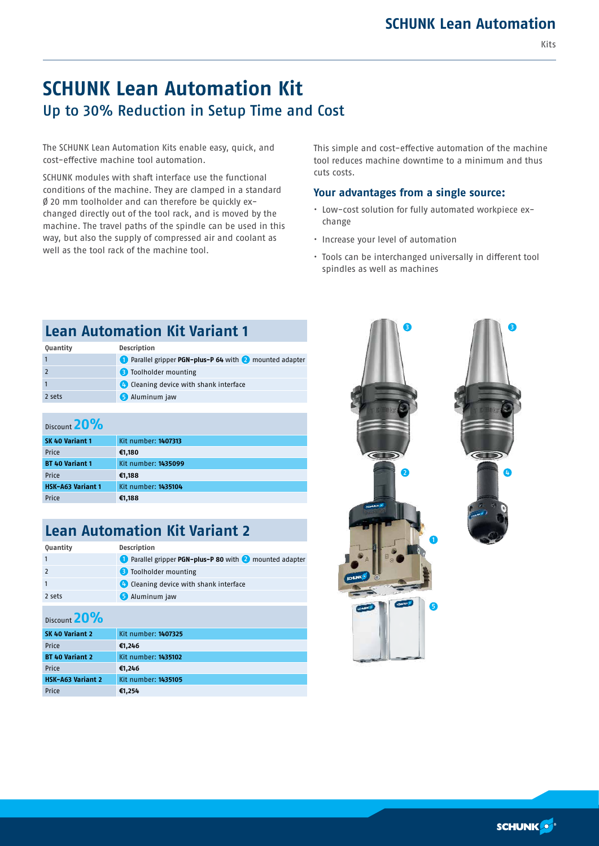Kits

# **SCHUNK Lean Automation Kit**  Up to 30% Reduction in Setup Time and Cost

The SCHUNK Lean Automation Kits enable easy, quick, and cost-effective machine tool automation.

SCHUNK modules with shaft interface use the functional conditions of the machine. They are clamped in a standard Ø 20 mm toolholder and can therefore be quickly exchanged directly out of the tool rack, and is moved by the machine. The travel paths of the spindle can be used in this way, but also the supply of compressed air and coolant as well as the tool rack of the machine tool.

This simple and cost-effective automation of the machine tool reduces machine downtime to a minimum and thus cuts costs.

#### **Your advantages from a single source:**

- Low-cost solution for fully automated workpiece exchange
- Increase your level of automation
- Tools can be interchanged universally in different tool spindles as well as machines

| <b>Lean Automation Kit Variant 1</b> |                                                          |
|--------------------------------------|----------------------------------------------------------|
| Quantity                             | <b>Description</b>                                       |
|                                      | 1 Parallel gripper PGN-plus-P 64 with 2 mounted adapter  |
|                                      | <b>B</b> Toolholder mounting                             |
|                                      | <b>Confidential</b> Cleaning device with shank interface |
| 2 sets                               | <b>6</b> Aluminum jaw                                    |
|                                      |                                                          |

| Discount |  |  |
|----------|--|--|
|----------|--|--|

| $P13CQ11C$ $P27C$   |  |
|---------------------|--|
| Kit number: 1407313 |  |
| €1,180              |  |
| Kit number: 1435099 |  |
| €1,188              |  |
| Kit number: 1435104 |  |
| €1,188              |  |
|                     |  |

## **Lean Automation Kit Variant 2**

| <b>Quantity</b> | <b>Description</b>                                             |
|-----------------|----------------------------------------------------------------|
|                 | <b>C</b> Parallel gripper PGN-plus-P 80 with 2 mounted adapter |
| $\overline{2}$  | <b>B</b> Toolholder mounting                                   |
| $\mathbf{1}$    | <b>Confidential</b> Cleaning device with shank interface       |
| 2 sets          | <b>5</b> Aluminum jaw                                          |
|                 |                                                                |

#### Discount **20%**

| SK 40 Variant 2          | Kit number: 1407325 |
|--------------------------|---------------------|
| Price                    | €1,246              |
| <b>BT 40 Variant 2</b>   | Kit number: 1435102 |
| Price                    | €1,246              |
| <b>HSK-A63 Variant 2</b> | Kit number: 1435105 |
| Price                    | €1,254              |